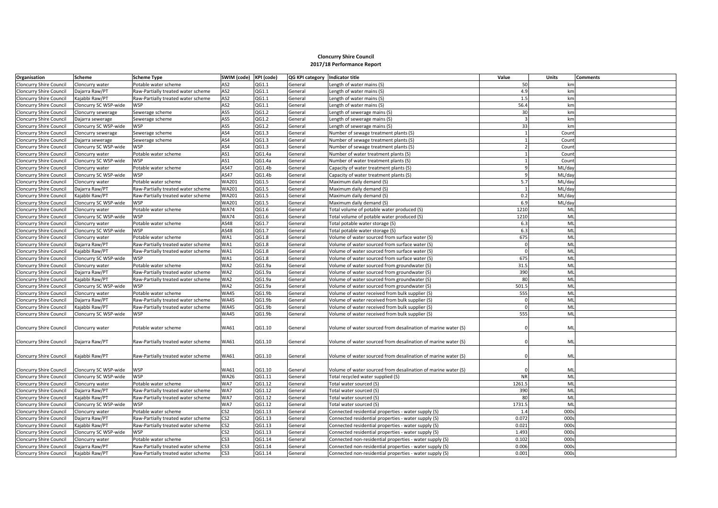## **Cloncurry Shire Council 2017/18 Performance Report**

| Organisation                   | Scheme                | <b>Scheme Type</b>                 | SWIM (code) KPI (code) |        | QG KPI category Indicator title |                                                               | Value     | <b>Units</b> | <b>Comments</b> |
|--------------------------------|-----------------------|------------------------------------|------------------------|--------|---------------------------------|---------------------------------------------------------------|-----------|--------------|-----------------|
| <b>Cloncurry Shire Council</b> | Cloncurry water       | Potable water scheme               | AS <sub>2</sub>        | QG1.1  | General                         | Length of water mains (S)                                     | 50        | km           |                 |
| Cloncurry Shire Council        | Dajarra Raw/PT        | Raw-Partially treated water scheme | AS <sub>2</sub>        | QG1.1  | General                         | Length of water mains (S)                                     | 4.9       | km           |                 |
| <b>Cloncurry Shire Council</b> | Kajabbi Raw/PT        | Raw-Partially treated water scheme | AS <sub>2</sub>        | QG1.1  | General                         | Length of water mains (S)                                     | 1.5       | km           |                 |
| <b>Cloncurry Shire Council</b> | Cloncurry SC WSP-wide | <b>WSP</b>                         | AS <sub>2</sub>        | QG1.1  | General                         | Length of water mains (S)                                     | 56.4      | km           |                 |
| Cloncurry Shire Council        | Cloncurry sewerage    | Sewerage scheme                    | AS5                    | QG1.2  | General                         | Length of sewerage mains (S)                                  | 30        | km           |                 |
| Cloncurry Shire Council        | Dajarra sewerage      | Sewerage scheme                    | AS5                    | QG1.2  | General                         | Length of sewerage mains (S)                                  |           | km           |                 |
| Cloncurry Shire Council        | Cloncurry SC WSP-wide | <b>WSP</b>                         | AS5                    | QG1.2  | General                         | Length of sewerage mains (S)                                  | 33        | km           |                 |
| <b>Cloncurry Shire Council</b> | Cloncurry sewerage    | Sewerage scheme                    | AS4                    | QG1.3  | General                         | Number of sewage treatment plants (S)                         |           | Count        |                 |
| <b>Cloncurry Shire Council</b> | Dajarra sewerage      | Sewerage scheme                    | AS4                    | QG1.3  | General                         | Number of sewage treatment plants (S)                         |           | Count        |                 |
| <b>Cloncurry Shire Council</b> | Cloncurry SC WSP-wide | <b>WSP</b>                         | AS4                    | QG1.3  | General                         | Number of sewage treatment plants (S)                         |           | Count        |                 |
| Cloncurry Shire Council        | Cloncurry water       | Potable water scheme               | AS1                    | QG1.4a | General                         | Number of water treatment plants (S)                          |           | Count        |                 |
| Cloncurry Shire Council        | Cloncurry SC WSP-wide | <b>WSP</b>                         | AS1                    | QG1.4a | General                         | Number of water treatment plants (S)                          |           | Count        |                 |
| Cloncurry Shire Council        | Cloncurry water       | Potable water scheme               | AS47                   | QG1.4b | General                         | Capacity of water treatment plants (S)                        |           | ML/day       |                 |
| <b>Cloncurry Shire Council</b> | Cloncurry SC WSP-wide | WSP                                | AS47                   | QG1.4b | General                         | Capacity of water treatment plants (S)                        |           | ML/day       |                 |
| Cloncurry Shire Council        | Cloncurry water       | Potable water scheme               | <b>WA201</b>           | QG1.5  | General                         | Maximum daily demand (S)                                      | 5.7       | ML/day       |                 |
| Cloncurry Shire Council        | Dajarra Raw/PT        | Raw-Partially treated water scheme | WA201                  | QG1.5  | General                         | Maximum daily demand (S)                                      |           | ML/day       |                 |
| Cloncurry Shire Council        | Kajabbi Raw/PT        | Raw-Partially treated water scheme | <b>WA201</b>           | QG1.5  | General                         | Maximum daily demand (S)                                      | 0.2       | ML/day       |                 |
| <b>Cloncurry Shire Council</b> | Cloncurry SC WSP-wide | <b>WSP</b>                         | <b>WA201</b>           | QG1.5  | General                         | Maximum daily demand (S)                                      | 6.9       | ML/day       |                 |
| <b>Cloncurry Shire Council</b> | Cloncurry water       | Potable water scheme               | <b>WA74</b>            | QG1.6  | General                         | [S] Total volume of potable water produced                    | 1210      | ML           |                 |
| <b>Cloncurry Shire Council</b> | Cloncurry SC WSP-wide | <b>WSP</b>                         | <b>WA74</b>            | QG1.6  | General                         | Total volume of potable water produced (S)                    | 1210      | ML           |                 |
| <b>Cloncurry Shire Council</b> | Cloncurry water       | Potable water scheme               | AS48                   | QG1.7  | General                         | Total potable water storage (S)                               | 6.3       | ML           |                 |
| Cloncurry Shire Council        | Cloncurry SC WSP-wide | <b>WSP</b>                         | AS48                   | QG1.7  | General                         | Total potable water storage (S)                               | 6.3       | ML           |                 |
| Cloncurry Shire Council        | Cloncurry water       | Potable water scheme               | WA1                    | QG1.8  | General                         | Volume of water sourced from surface water (S)                | 675       | ML           |                 |
| <b>Cloncurry Shire Council</b> | Dajarra Raw/PT        | Raw-Partially treated water scheme | WA1                    | QG1.8  | General                         | Volume of water sourced from surface water (S)                |           | ML           |                 |
| Cloncurry Shire Council        | Kajabbi Raw/PT        | Raw-Partially treated water scheme | WA1                    | QG1.8  | General                         | Volume of water sourced from surface water (S)                |           | ML           |                 |
| <b>Cloncurry Shire Council</b> | Cloncurry SC WSP-wide | <b>WSP</b>                         | WA1                    | QG1.8  | General                         | Volume of water sourced from surface water (S)                | 675       | ML           |                 |
| Cloncurry Shire Council        | Cloncurry water       | Potable water scheme               | WA2                    | QG1.9a | General                         | Volume of water sourced from groundwater (S)                  | 31.5      | ML           |                 |
| <b>Cloncurry Shire Council</b> | Dajarra Raw/PT        | Raw-Partially treated water scheme | WA2                    | QG1.9a | General                         | Volume of water sourced from groundwater (S)                  | 390       | ML           |                 |
| <b>Cloncurry Shire Council</b> | Kajabbi Raw/PT        | Raw-Partially treated water scheme | WA2                    | QG1.9a | General                         | Volume of water sourced from groundwater (S)                  | 80        | ML           |                 |
| Cloncurry Shire Council        | Cloncurry SC WSP-wide | <b>WSP</b>                         | WA2                    | QG1.9a | General                         | Volume of water sourced from groundwater (S)                  | 501.5     | ML           |                 |
| <b>Cloncurry Shire Council</b> | Cloncurry water       | Potable water scheme               | <b>WA45</b>            | QG1.9b | General                         | Volume of water received from bulk supplier (S)               | 555       | ML           |                 |
| <b>Cloncurry Shire Council</b> | Dajarra Raw/PT        | Raw-Partially treated water scheme | <b>WA45</b>            | QG1.9b | General                         | Volume of water received from bulk supplier (S)               |           | ML           |                 |
| Cloncurry Shire Council        | Kajabbi Raw/PT        | Raw-Partially treated water scheme | <b>WA45</b>            | QG1.9b | General                         | Volume of water received from bulk supplier (S)               |           | ML           |                 |
| <b>Cloncurry Shire Council</b> | Cloncurry SC WSP-wide | <b>WSP</b>                         | <b>WA45</b>            | QG1.9b | General                         | Volume of water received from bulk supplier (S)               | 555       | ML           |                 |
| <b>Cloncurry Shire Council</b> | Cloncurry water       | Potable water scheme               | <b>WA61</b>            | QG1.10 | General                         | Volume of water sourced from desalination of marine water (S) |           | ML           |                 |
| <b>Cloncurry Shire Council</b> | Dajarra Raw/PT        | Raw-Partially treated water scheme | <b>WA61</b>            | QG1.10 | General                         | Volume of water sourced from desalination of marine water (S) |           | ML           |                 |
| <b>Cloncurry Shire Council</b> | Kajabbi Raw/PT        | Raw-Partially treated water scheme | <b>WA61</b>            | QG1.10 | General                         | Volume of water sourced from desalination of marine water (S) |           | ML           |                 |
| Cloncurry Shire Council        | Cloncurry SC WSP-wide | <b>WSP</b>                         | <b>WA61</b>            | QG1.10 | General                         | Volume of water sourced from desalination of marine water (S) |           | ML           |                 |
| <b>Cloncurry Shire Council</b> | Cloncurry SC WSP-wide | <b>WSP</b>                         | <b>WA26</b>            | QG1.11 | General                         | Total recycled water supplied (S)                             | <b>NR</b> | ML           |                 |
| Cloncurry Shire Council        | Cloncurry water       | Potable water scheme               | WA7                    | QG1.12 | General                         | Total water sourced (S)                                       | 1261.5    | ML           |                 |
| Cloncurry Shire Council        | Dajarra Raw/PT        | Raw-Partially treated water scheme | WA7                    | QG1.12 | General                         | Fotal water sourced (S)                                       | 390       | ML           |                 |
| Cloncurry Shire Council        | Kajabbi Raw/PT        | Raw-Partially treated water scheme | WA7                    | QG1.12 | General                         | Total water sourced (S)                                       | 80        | ML           |                 |
| Cloncurry Shire Council        | Cloncurry SC WSP-wide | <b>WSP</b>                         | WA7                    | QG1.12 | General                         | Total water sourced (S)                                       | 1731.5    | ML           |                 |
| <b>Cloncurry Shire Council</b> | Cloncurry water       | Potable water scheme               | CS <sub>2</sub>        | QG1.13 | General                         | Connected residential properties - water supply (S)           | 1.4       | 000s         |                 |
| Cloncurry Shire Council        | Dajarra Raw/PT        | Raw-Partially treated water scheme | CS <sub>2</sub>        | QG1.13 | General                         | Connected residential properties - water supply (S)           | 0.072     | 0009         |                 |
| <b>Cloncurry Shire Council</b> | Kajabbi Raw/PT        | Raw-Partially treated water scheme | CS <sub>2</sub>        | QG1.13 | General                         | Connected residential properties - water supply (S)           | 0.021     | 000s         |                 |
| Cloncurry Shire Council        | Cloncurry SC WSP-wide | WSP                                | CS <sub>2</sub>        | QG1.13 | General                         | Connected residential properties - water supply (S)           | 1.493     | 0009         |                 |
| <b>Cloncurry Shire Council</b> | Cloncurry water       | Potable water scheme               | CS <sub>3</sub>        | QG1.14 | General                         | Connected non-residential properties - water supply (S)       | 0.102     | 000s         |                 |
| <b>Cloncurry Shire Council</b> | Dajarra Raw/PT        | Raw-Partially treated water scheme | CS <sub>3</sub>        | QG1.14 | General                         | Connected non-residential properties - water supply (S)       | 0.006     | 0009         |                 |
| Cloncurry Shire Council        | Kajabbi Raw/PT        | Raw-Partially treated water scheme | CS <sub>3</sub>        | QG1.14 | General                         | Connected non-residential properties - water supply (S)       | 0.001     | 000s         |                 |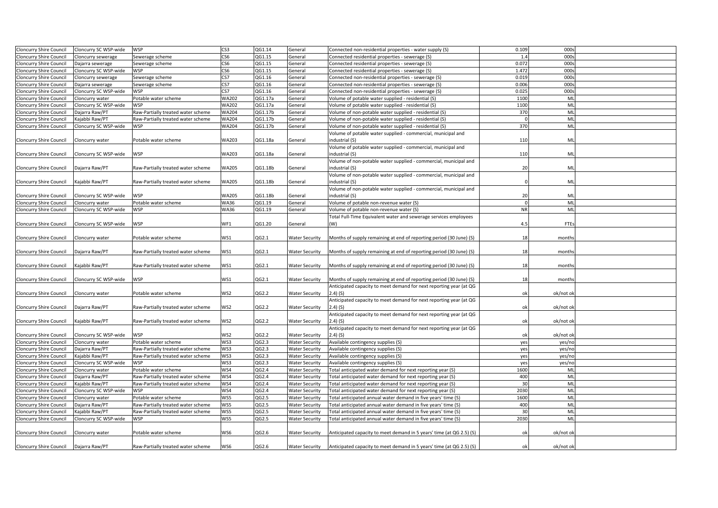| <b>Cloncurry Shire Council</b> | Cloncurry SC WSP-wide                                                                                                                                                                    | WSP                                | CS3             | QG1.14  | General               | Connected non-residential properties - water supply (S)                             | 0.109     | 000:      |  |
|--------------------------------|------------------------------------------------------------------------------------------------------------------------------------------------------------------------------------------|------------------------------------|-----------------|---------|-----------------------|-------------------------------------------------------------------------------------|-----------|-----------|--|
| <b>Cloncurry Shire Council</b> | Cloncurry sewerage                                                                                                                                                                       | Sewerage scheme                    | CS <sub>6</sub> | QG1.15  | General               | Connected residential properties - sewerage (S)                                     | 1.4       | 000       |  |
| <b>Cloncurry Shire Council</b> | Dajarra sewerage                                                                                                                                                                         | Sewerage scheme                    | CS6             | QG1.15  | General               | Connected residential properties - sewerage (S)                                     | 0.072     | 000       |  |
| <b>Cloncurry Shire Council</b> | Cloncurry SC WSP-wide                                                                                                                                                                    | <b>WSP</b>                         | CS6             | QG1.15  | General               | Connected residential properties - sewerage (S)                                     | 1.472     | 000       |  |
| Cloncurry Shire Council        | Cloncurry sewerage                                                                                                                                                                       | Sewerage scheme                    | CS7             | QG1.16  | General               | Connected non-residential properties - sewerage (S)                                 | 0.019     | 000       |  |
| Cloncurry Shire Council        | Dajarra sewerage                                                                                                                                                                         | Sewerage scheme                    | CS7             | QG1.16  | General               | Connected non-residential properties - sewerage (S)                                 | 0.006     | 000       |  |
| Cloncurry Shire Council        | Cloncurry SC WSP-wide                                                                                                                                                                    | <b>WSP</b>                         | CS7             | QG1.16  | General               | Connected non-residential properties - sewerage (S)                                 | 0.025     | 000s      |  |
| Cloncurry Shire Council        | Cloncurry water                                                                                                                                                                          | Potable water scheme               | WA202           | QG1.17a | General               | Volume of potable water supplied - residential (S)                                  | 1100      | ML        |  |
| <b>Cloncurry Shire Council</b> | Cloncurry SC WSP-wide                                                                                                                                                                    | <b>WSP</b>                         | WA202           | QG1.17a | General               | Volume of potable water supplied - residential (S)                                  | 1100      | ML        |  |
| <b>Cloncurry Shire Council</b> | Dajarra Raw/PT                                                                                                                                                                           | Raw-Partially treated water scheme | <b>WA204</b>    | QG1.17b | General               | Volume of non-potable water supplied - residential (S)                              | 370       | ML        |  |
| <b>Cloncurry Shire Council</b> | Kajabbi Raw/PT                                                                                                                                                                           | Raw-Partially treated water scheme | WA204           | QG1.17b | General               | Volume of non-potable water supplied - residential (S)                              |           | ML        |  |
| Cloncurry Shire Council        | Cloncurry SC WSP-wide                                                                                                                                                                    | <b>WSP</b>                         | WA204           | QG1.17b | General               | Volume of non-potable water supplied - residential (S)                              | 370       | ML        |  |
|                                |                                                                                                                                                                                          |                                    |                 |         |                       | Volume of potable water supplied - commercial, municipal and                        |           |           |  |
| Cloncurry Shire Council        | Cloncurry water                                                                                                                                                                          | Potable water scheme               | WA203           | QG1.18a | General               | industrial (S)                                                                      | 110       | ML        |  |
|                                |                                                                                                                                                                                          |                                    |                 |         |                       | Volume of potable water supplied - commercial, municipal and                        |           |           |  |
| <b>Cloncurry Shire Council</b> | Cloncurry SC WSP-wide                                                                                                                                                                    | <b>WSP</b>                         | WA203           | QG1.18a | General               | industrial (S)                                                                      | 110       | ML        |  |
|                                |                                                                                                                                                                                          |                                    |                 |         |                       | Volume of non-potable water supplied - commercial, municipal and                    |           |           |  |
| <b>Cloncurry Shire Council</b> | Dajarra Raw/PT                                                                                                                                                                           | Raw-Partially treated water scheme | <b>WA205</b>    | QG1.18b | General               | industrial (S)                                                                      | 20        | ML        |  |
|                                |                                                                                                                                                                                          |                                    |                 |         |                       | Volume of non-potable water supplied - commercial, municipal and                    |           |           |  |
|                                |                                                                                                                                                                                          |                                    |                 |         |                       |                                                                                     |           |           |  |
| Cloncurry Shire Council        | Kajabbi Raw/PT                                                                                                                                                                           | Raw-Partially treated water scheme | WA205           | QG1.18b | General               | industrial (S)                                                                      |           | ML        |  |
|                                |                                                                                                                                                                                          |                                    |                 |         |                       | Volume of non-potable water supplied - commercial, municipal and                    |           |           |  |
| <b>Cloncurry Shire Council</b> | Cloncurry SC WSP-wide                                                                                                                                                                    | <b>WSP</b>                         | <b>WA205</b>    | QG1.18b | General               | industrial (S)                                                                      | 20        | ML        |  |
| Cloncurry Shire Council        | Cloncurry water                                                                                                                                                                          | Potable water scheme               | WA36            | QG1.19  | General               | Volume of potable non-revenue water (S)                                             |           | ML        |  |
| <b>Cloncurry Shire Council</b> | Cloncurry SC WSP-wide                                                                                                                                                                    | <b>WSP</b>                         | WA36            | QG1.19  | General               | Volume of potable non-revenue water (S)                                             | <b>NR</b> | ML        |  |
|                                |                                                                                                                                                                                          |                                    |                 |         |                       | Total Full-Time Equivalent water and sewerage services employees                    |           |           |  |
| Cloncurry Shire Council        | Cloncurry SC WSP-wide                                                                                                                                                                    | WSP                                | WF1             | QG1.20  | General               | (W)                                                                                 | 4.5       | FTE:      |  |
|                                |                                                                                                                                                                                          |                                    |                 |         |                       |                                                                                     |           |           |  |
| <b>Cloncurry Shire Council</b> | Cloncurry water                                                                                                                                                                          | Potable water scheme               | WS1             | QG2.1   | <b>Water Security</b> | Months of supply remaining at end of reporting period (30 June) (S)                 | 18        | months    |  |
|                                |                                                                                                                                                                                          |                                    |                 |         |                       |                                                                                     |           |           |  |
| Cloncurry Shire Council        | Dajarra Raw/PT                                                                                                                                                                           | Raw-Partially treated water scheme | WS1             | QG2.1   | <b>Water Security</b> | Months of supply remaining at end of reporting period (30 June) (S)                 | 18        | months    |  |
|                                |                                                                                                                                                                                          |                                    |                 |         |                       |                                                                                     |           |           |  |
| <b>Cloncurry Shire Council</b> | Kajabbi Raw/PT                                                                                                                                                                           | Raw-Partially treated water scheme | WS1             | QG2.1   | <b>Water Security</b> | Months of supply remaining at end of reporting period (30 June) (S)                 | 18        | months    |  |
|                                |                                                                                                                                                                                          |                                    |                 |         |                       |                                                                                     |           |           |  |
| Cloncurry Shire Council        | Cloncurry SC WSP-wide                                                                                                                                                                    | <b>WSP</b>                         | WS1             | QG2.1   | <b>Water Security</b> | Months of supply remaining at end of reporting period (30 June) (S)                 | 18        | months    |  |
|                                |                                                                                                                                                                                          |                                    |                 |         |                       | Anticipated capacity to meet demand for next reporting year (at QG                  |           |           |  |
| Cloncurry Shire Council        | Cloncurry water                                                                                                                                                                          | Potable water scheme               | WS2             | QG2.2   | <b>Water Security</b> | 2.4) (S)                                                                            | ok        | ok/not ok |  |
|                                |                                                                                                                                                                                          |                                    |                 |         |                       | Anticipated capacity to meet demand for next reporting year (at QG                  |           |           |  |
| Cloncurry Shire Council        | Dajarra Raw/PT                                                                                                                                                                           | Raw-Partially treated water scheme | WS2             | QG2.2   | <b>Water Security</b> | 2.4) (S)                                                                            | ok        | ok/not ok |  |
|                                |                                                                                                                                                                                          |                                    |                 |         |                       | Anticipated capacity to meet demand for next reporting year (at QG                  |           |           |  |
| <b>Cloncurry Shire Council</b> | <ajabbi pt<="" raw="" td=""><td>Raw-Partially treated water scheme</td><td>WS2</td><td>QG2.2</td><td>Water Security</td><td>2.4) (S)</td><td>ok</td><td>ok/not ok</td><td></td></ajabbi> | Raw-Partially treated water scheme | WS2             | QG2.2   | Water Security        | 2.4) (S)                                                                            | ok        | ok/not ok |  |
|                                |                                                                                                                                                                                          |                                    |                 |         |                       | Anticipated capacity to meet demand for next reporting year (at QG                  |           |           |  |
| Cloncurry Shire Council        | Cloncurry SC WSP-wide                                                                                                                                                                    | <b>WSP</b>                         | WS2             | QG2.2   | <b>Water Security</b> | $2.4)$ (S)                                                                          | ok        | ok/not ok |  |
| <b>Cloncurry Shire Council</b> | Cloncurry water                                                                                                                                                                          | Potable water scheme               | WS3             | QG2.3   | <b>Water Security</b> | Available contingency supplies (S)                                                  | yes       | yes/no    |  |
| Cloncurry Shire Council        | Dajarra Raw/PT                                                                                                                                                                           | Raw-Partially treated water scheme | WS3             | QG2.3   | <b>Water Security</b> | Available contingency supplies (S)                                                  | yes       | yes/no    |  |
| Cloncurry Shire Council        | Kajabbi Raw/PT                                                                                                                                                                           | Raw-Partially treated water scheme | WS3             | QG2.3   | <b>Water Security</b> | Available contingency supplies (S)                                                  | yes       | yes/no    |  |
| Cloncurry Shire Council        | Cloncurry SC WSP-wide                                                                                                                                                                    | <b>WSP</b>                         | WS3             | QG2.3   | <b>Water Security</b> | Available contingency supplies (S)                                                  | yes       | yes/no    |  |
| <b>Cloncurry Shire Council</b> | Cloncurry water                                                                                                                                                                          | Potable water scheme               | WS4             | QG2.4   | <b>Water Security</b> | [6] Total anticipated water demand for next reporting year                          | 1600      | ML        |  |
| <b>Cloncurry Shire Council</b> | Dajarra Raw/PT                                                                                                                                                                           | Raw-Partially treated water scheme | WS4             | QG2.4   | <b>Water Security</b> | [6] Total anticipated water demand for next reporting year                          | 400       | ML        |  |
| <b>Cloncurry Shire Council</b> | Kajabbi Raw/PT                                                                                                                                                                           | Raw-Partially treated water scheme | WS4             | QG2.4   | <b>Water Security</b> | Total anticipated water demand for next reporting year (S)                          | 30        | ML        |  |
| Cloncurry Shire Council        | Cloncurry SC WSP-wide                                                                                                                                                                    | <b>WSP</b>                         | WS4             | QG2.4   | <b>Water Security</b> | Total anticipated water demand for next reporting year (S)                          | 2030      | ML        |  |
| <b>Cloncurry Shire Council</b> | Cloncurry water                                                                                                                                                                          | Potable water scheme               | WS5             | QG2.5   | <b>Water Security</b> | [S] Total anticipated annual water demand in five years' time                       | 1600      | ML        |  |
| Cloncurry Shire Council        | Dajarra Raw/PT                                                                                                                                                                           | Raw-Partially treated water scheme | WS5             | QG2.5   | <b>Water Security</b> | [S] Total anticipated annual water demand in five years' time                       | 400       | ML        |  |
| <b>Cloncurry Shire Council</b> | Kajabbi Raw/PT                                                                                                                                                                           | Raw-Partially treated water scheme | WS5             | QG2.5   | Water Security        | Total anticipated annual water demand in five years' time (S)                       | 30        | ML        |  |
| <b>Cloncurry Shire Council</b> | Cloncurry SC WSP-wide                                                                                                                                                                    | WSP                                | WS5             | QG2.5   | <b>Water Security</b> | [5] Total anticipated annual water demand in five years' time                       | 2030      | ML        |  |
|                                |                                                                                                                                                                                          |                                    |                 |         |                       |                                                                                     |           |           |  |
| <b>Cloncurry Shire Council</b> | Cloncurry water                                                                                                                                                                          | Potable water scheme               | WS6             | QG2.6   | <b>Water Security</b> | Anticipated capacity to meet demand in 5 years' time (at QG 2.5) (S)                | ok        | ok/not ok |  |
|                                |                                                                                                                                                                                          |                                    |                 |         |                       |                                                                                     |           |           |  |
| <b>Cloncurry Shire Council</b> | Dajarra Raw/PT                                                                                                                                                                           | Raw-Partially treated water scheme | WS6             | QG2.6   |                       | Water Security Anticipated capacity to meet demand in 5 years' time (at QG 2.5) (S) | ok        | ok/not ok |  |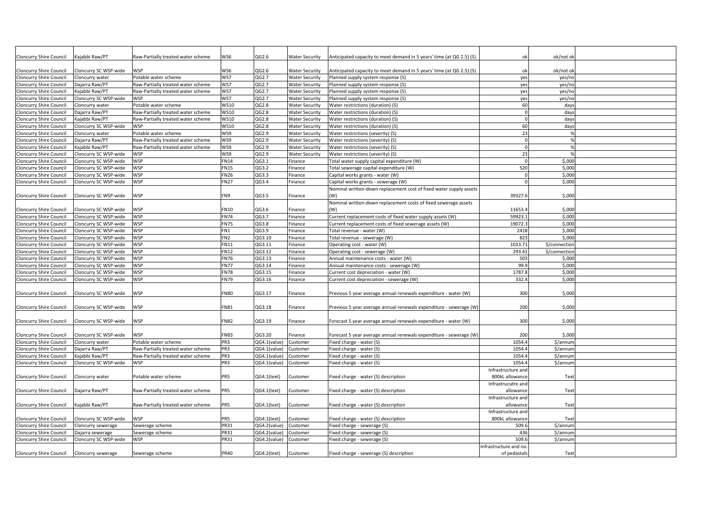| <b>Cloncurry Shire Council</b> | Kajabbi Raw/PT                                                                                                                                                                                                     | aw-Partially treated water scheme  | WS6             | QG2.6        | Water Security        | Anticipated capacity to meet demand in 5 years' time (at QG 2.5) (S) | ok                    | ok/not ok     |  |
|--------------------------------|--------------------------------------------------------------------------------------------------------------------------------------------------------------------------------------------------------------------|------------------------------------|-----------------|--------------|-----------------------|----------------------------------------------------------------------|-----------------------|---------------|--|
|                                |                                                                                                                                                                                                                    |                                    |                 |              |                       |                                                                      |                       |               |  |
| <b>Cloncurry Shire Council</b> | Cloncurry SC WSP-wide                                                                                                                                                                                              | WSP                                | WS6             | QG2.6        | Water Security        | Anticipated capacity to meet demand in 5 years' time (at QG 2.5) (S) | ok                    | ok/not ok     |  |
| <b>Cloncurry Shire Council</b> | Cloncurry water                                                                                                                                                                                                    | Potable water scheme               | WS7             | QG2.7        | <b>Water Security</b> | Planned supply system response (S)                                   | yes                   | yes/nc        |  |
| <b>Cloncurry Shire Council</b> | Dajarra Raw/PT                                                                                                                                                                                                     | Raw-Partially treated water scheme | WS7             | QG2.7        | <b>Water Security</b> | Planned supply system response (S)                                   | yes                   | yes/no        |  |
| <b>Cloncurry Shire Council</b> | Kajabbi Raw/PT                                                                                                                                                                                                     | Raw-Partially treated water scheme | WS7             | QG2.7        | Water Security        | Planned supply system response (S)                                   | yes                   | yes/nc        |  |
| <b>Cloncurry Shire Council</b> | Cloncurry SC WSP-wide                                                                                                                                                                                              | WSP                                | WS7             | QG2.7        | <b>Water Security</b> | Planned supply system response (S)                                   | yes                   | yes/no        |  |
| <b>Cloncurry Shire Council</b> | Cloncurry water                                                                                                                                                                                                    | otable water scheme                | <b>WS10</b>     | QG2.8        | <b>Water Security</b> | Water restrictions (duration) (S)                                    | 60                    | day:          |  |
| <b>Cloncurry Shire Council</b> | Dajarra Raw/PT                                                                                                                                                                                                     | Raw-Partially treated water scheme | <b>WS10</b>     | QG2.8        | <b>Water Security</b> | Water restrictions (duration) (S)                                    |                       | days          |  |
| <b>Cloncurry Shire Council</b> | <ajabbi pt<="" raw="" td=""><td>Raw-Partially treated water scheme</td><td><b>WS10</b></td><td>QG2.8</td><td>Water Security</td><td>Water restrictions (duration) (S)</td><td></td><td>days</td><td></td></ajabbi> | Raw-Partially treated water scheme | <b>WS10</b>     | QG2.8        | Water Security        | Water restrictions (duration) (S)                                    |                       | days          |  |
| <b>Cloncurry Shire Council</b> | Cloncurry SC WSP-wide                                                                                                                                                                                              | <b>WSP</b>                         | <b>WS10</b>     | QG2.8        | <b>Water Security</b> | Water restrictions (duration) (S)                                    | 60                    | days          |  |
| <b>Cloncurry Shire Council</b> | Cloncurry water                                                                                                                                                                                                    | otable water scheme                | WS9             | QG2.9        | <b>Water Security</b> | Water restrictions (severity) (S)                                    | 23                    |               |  |
| <b>Cloncurry Shire Council</b> | Dajarra Raw/PT                                                                                                                                                                                                     | Raw-Partially treated water scheme | WS9             | QG2.9        | Water Security        | Water restrictions (severity) (S)                                    |                       |               |  |
|                                |                                                                                                                                                                                                                    |                                    | WS9             | QG2.9        |                       |                                                                      |                       |               |  |
| <b>Cloncurry Shire Council</b> | <ajabbi pt<="" raw="" td=""><td>Raw-Partially treated water scheme</td><td></td><td></td><td><b>Water Security</b></td><td>Water restrictions (severity) (S)</td><td></td><td></td><td></td></ajabbi>              | Raw-Partially treated water scheme |                 |              | <b>Water Security</b> | Water restrictions (severity) (S)                                    |                       |               |  |
| <b>Cloncurry Shire Council</b> | Cloncurry SC WSP-wide                                                                                                                                                                                              | <b>WSP</b>                         | WS9             | QG2.9        | <b>Water Security</b> | Water restrictions (severity) (S)                                    | 23                    |               |  |
| <b>Cloncurry Shire Council</b> | Cloncurry SC WSP-wide                                                                                                                                                                                              | WSP                                | <b>FN14</b>     | QG3.1        | Finance               | Total water supply capital expenditure (W)                           |                       | \$,000        |  |
| <b>Cloncurry Shire Council</b> | Cloncurry SC WSP-wide                                                                                                                                                                                              | WSP                                | <b>FN15</b>     | QG3.2        | inance                | Total sewerage capital expenditure (W)                               | 520                   | \$,000        |  |
| <b>Cloncurry Shire Council</b> | Cloncurry SC WSP-wide                                                                                                                                                                                              | <b>WSP</b>                         | <b>FN26</b>     | QG3.3        | Finance               | Capital works grants - water (W)                                     |                       | \$,000        |  |
| <b>Cloncurry Shire Council</b> | Cloncurry SC WSP-wide                                                                                                                                                                                              | <b>WSP</b>                         | <b>FN27</b>     | QG3.4        | inance                | Capital works grants - sewerage (W)                                  |                       | \$,000        |  |
|                                |                                                                                                                                                                                                                    |                                    |                 |              |                       | Nominal written-down replacement cost of fixed water supply assets   |                       |               |  |
| <b>Cloncurry Shire Council</b> | Cloncurry SC WSP-wide                                                                                                                                                                                              | WSP                                | FN9             | QG3.5        | Finance               | (W)                                                                  | 39327.                | \$,000        |  |
|                                |                                                                                                                                                                                                                    |                                    |                 |              |                       | Nominal written-down replacement costs of fixed sewerage assets      |                       |               |  |
| <b>Cloncurry Shire Council</b> | Cloncurry SC WSP-wide                                                                                                                                                                                              | <b>WSP</b>                         | <b>FN10</b>     | QG3.6        | Finance               | (W)                                                                  | 11653.                | \$,000        |  |
| <b>Cloncurry Shire Council</b> | Cloncurry SC WSP-wide                                                                                                                                                                                              | <b>WSP</b>                         | <b>FN74</b>     | QG3.7        | Finance               | Current replacement costs of fixed water supply assets (W)           | 59923.                | \$,000        |  |
| Cloncurry Shire Council        | Cloncurry SC WSP-wide                                                                                                                                                                                              | <b>WSP</b>                         | <b>FN75</b>     | QG3.8        | Finance               | Current replacement costs of fixed sewerage assets (W)               | 19072.                | \$,000        |  |
| <b>Cloncurry Shire Council</b> | Cloncurry SC WSP-wide                                                                                                                                                                                              | <b>WSP</b>                         | FN1             | QG3.9        | inance                | Total revenue - water (W)                                            | 2418                  | \$,000        |  |
|                                |                                                                                                                                                                                                                    |                                    | FN <sub>2</sub> |              |                       |                                                                      |                       |               |  |
| <b>Cloncurry Shire Council</b> | Cloncurry SC WSP-wide                                                                                                                                                                                              | <b>WSP</b>                         |                 | QG3.10       | Finance               | Total revenue - sewerage (W)                                         | 82                    | \$,000        |  |
| <b>Cloncurry Shire Council</b> | Cloncurry SC WSP-wide                                                                                                                                                                                              | WSP                                | <b>FN11</b>     | QG3.11       | inance                | Operating cost - water (W)                                           | 1033.7                | \$/connection |  |
| <b>Cloncurry Shire Council</b> | Cloncurry SC WSP-wide                                                                                                                                                                                              | WSP                                | <b>FN12</b>     | QG3.12       | Finance               | Operating cost - sewerage (W)                                        | 293.41                | \$/connection |  |
| <b>Cloncurry Shire Council</b> | Cloncurry SC WSP-wide                                                                                                                                                                                              | WSP                                | <b>FN76</b>     | QG3.13       | inance                | Annual maintenance costs - water (W)                                 | 503                   | \$,000        |  |
| <b>Cloncurry Shire Council</b> | Cloncurry SC WSP-wide                                                                                                                                                                                              | WSP                                | FN77            | QG3.14       | inance                | Annual maintenance costs - sewerage (W)                              | 99.9                  | \$,000        |  |
| <b>Cloncurry Shire Council</b> | Cloncurry SC WSP-wide                                                                                                                                                                                              | WSP                                | <b>FN78</b>     | QG3.15       | inance                | Current cost depreciation - water (W)                                | 1787.                 | \$,000        |  |
| <b>Cloncurry Shire Council</b> | Cloncurry SC WSP-wide                                                                                                                                                                                              | WSP                                | <b>FN79</b>     | QG3.16       | inance                | Current cost depreciation - sewerage (W)                             | 332.4                 | \$,000        |  |
|                                |                                                                                                                                                                                                                    |                                    |                 |              |                       |                                                                      |                       |               |  |
| <b>Cloncurry Shire Council</b> | Cloncurry SC WSP-wide                                                                                                                                                                                              | <b>WSP</b>                         | <b>FN80</b>     | QG3.17       | Finance               | Previous 5 year average annual renewals expenditure - water (W)      | 300                   | \$,000        |  |
|                                |                                                                                                                                                                                                                    |                                    |                 |              |                       |                                                                      |                       |               |  |
| <b>Cloncurry Shire Council</b> | Cloncurry SC WSP-wide                                                                                                                                                                                              | WSP                                | <b>FN81</b>     | QG3.18       | Finance               | Previous 5 year average annual renewals expenditure - sewerage (W    | 200                   | \$,000        |  |
|                                |                                                                                                                                                                                                                    |                                    |                 |              |                       |                                                                      |                       |               |  |
| <b>Cloncurry Shire Council</b> | Cloncurry SC WSP-wide                                                                                                                                                                                              | WSP                                | <b>FN82</b>     | QG3.19       | Finance               | Forecast 5 year average annual renewals expenditure - water (W)      | 300                   | \$,000        |  |
|                                |                                                                                                                                                                                                                    |                                    |                 |              |                       |                                                                      |                       |               |  |
|                                |                                                                                                                                                                                                                    |                                    |                 |              |                       |                                                                      |                       |               |  |
| <b>Cloncurry Shire Council</b> | Cloncurry SC WSP-wide                                                                                                                                                                                              | WSP                                | <b>FN83</b>     | QG3.20       | inance                | Forecast 5 year average annual renewals expenditure - sewerage (W)   | 200                   | \$,000        |  |
| <b>Cloncurry Shire Council</b> | Cloncurry water                                                                                                                                                                                                    | Potable water scheme               | PR <sub>3</sub> | QG4.1(value) | Customer              | Fixed charge - water (S)                                             | 1054.4                | \$/annun      |  |
| <b>Cloncurry Shire Council</b> | Dajarra Raw/PT                                                                                                                                                                                                     | Raw-Partially treated water scheme | PR3             | 2G4.1(value) | Customer              | Fixed charge - water (S)                                             | 1054.4                | \$/annum      |  |
| Cloncurry Shire Council        | Kajabbi Raw/PT                                                                                                                                                                                                     | Raw-Partially treated water scheme | PR3             | QG4.1(value) | Customer              | Fixed charge - water (S)                                             | 1054.                 | \$/annun      |  |
| <b>Cloncurry Shire Council</b> | Cloncurry SC WSP-wide                                                                                                                                                                                              | <b>WSP</b>                         | PR3             | QG4.1(value) | Customer              | Fixed charge - water (S)                                             | 1054.                 | \$/annum      |  |
|                                |                                                                                                                                                                                                                    |                                    |                 |              |                       |                                                                      | Infrastructure and    |               |  |
| <b>Cloncurry Shire Council</b> | Cloncurry water                                                                                                                                                                                                    | Potable water scheme               | PR5             | QG4.1(text)  | Customer              | Fixed charge - water (S) description                                 | 800kL allowance       | Text          |  |
|                                |                                                                                                                                                                                                                    |                                    |                 |              |                       |                                                                      | Infrastrucutre and    |               |  |
| Cloncurry Shire Council        | Dajarra Raw/PT                                                                                                                                                                                                     | Raw-Partially treated water scheme | PR5             | QG4.1(text)  | Customer              | Fixed charge - water (S) description                                 | allowance             | Text          |  |
|                                |                                                                                                                                                                                                                    |                                    |                 |              |                       |                                                                      | Infrastructure and    |               |  |
| <b>Cloncurry Shire Council</b> | Kajabbi Raw/PT                                                                                                                                                                                                     | Raw-Partially treated water scheme | PR5             | QG4.1(text)  | Customer              | Fixed charge - water (S) description                                 | allowance             | Text          |  |
|                                |                                                                                                                                                                                                                    |                                    |                 |              |                       |                                                                      |                       |               |  |
|                                |                                                                                                                                                                                                                    |                                    |                 |              |                       |                                                                      | Infrastructure and    |               |  |
| <b>Cloncurry Shire Council</b> | Cloncurry SC WSP-wide                                                                                                                                                                                              | WSP                                | PR5             | QG4.1(text)  | Customer              | Fixed charge - water (S) description                                 | 800kL allowance       | Text          |  |
| <b>Cloncurry Shire Council</b> | Cloncurry sewerage                                                                                                                                                                                                 | Sewerage scheme                    | <b>PR31</b>     | 2G4.2(value) | Customer              | Fixed charge - sewerage (S)                                          | 509.6                 | \$/annum      |  |
| <b>Cloncurry Shire Council</b> | Dajarra sewerage                                                                                                                                                                                                   | Sewerage scheme                    | <b>PR31</b>     | QG4.2(value) | ustomer.              | Fixed charge - sewerage (S)                                          | 436                   | \$/annum      |  |
| Cloncurry Shire Council        | Cloncurry SC WSP-wide                                                                                                                                                                                              | WSP                                | <b>PR31</b>     | QG4.2(value) | Customer              | Fixed charge - sewerage (S)                                          | 509.                  | \$/annum      |  |
|                                |                                                                                                                                                                                                                    |                                    |                 |              |                       |                                                                      | Infrastructure and no |               |  |
| Cloncurry Shire Council        | Cloncurry sewerage                                                                                                                                                                                                 | Sewerage scheme                    | <b>PR40</b>     | QG4.2(text)  | Customer              | Fixed charge - sewerage (S) description                              | of pedastal           | Text          |  |
|                                |                                                                                                                                                                                                                    |                                    |                 |              |                       |                                                                      |                       |               |  |